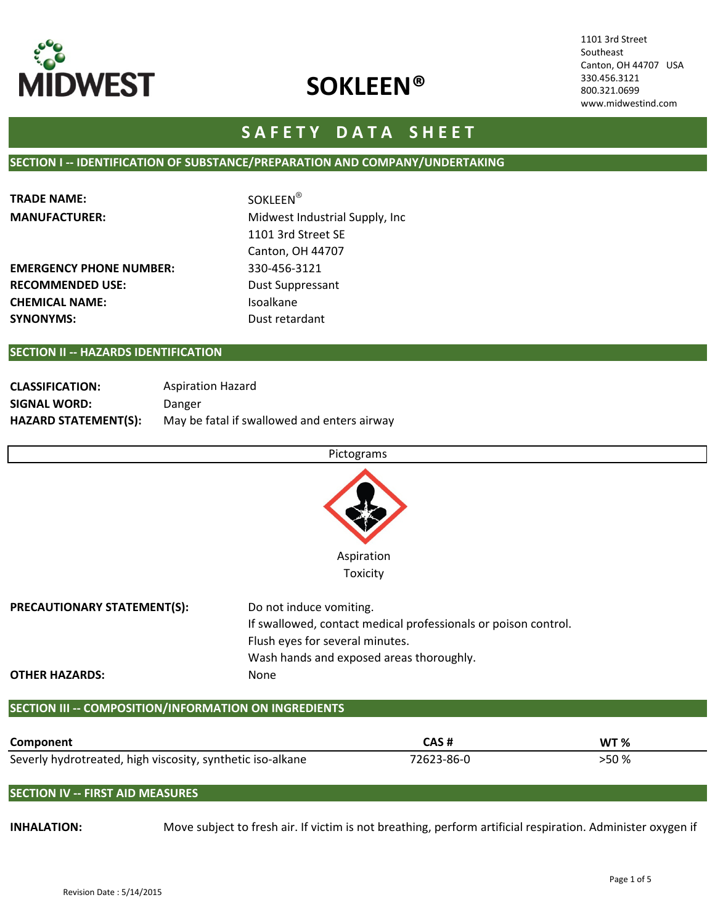

1101 3rd Street Southeast Canton, OH 44707 USA 330.456.3121 800.321.0699 www.midwestind.com

# SAFETY DATA SHEET

### SECTION I -- IDENTIFICATION OF SUBSTANCE/PREPARATION AND COMPANY/UNDERTAKING

| <b>TRADE NAME:</b>             | <b>SOKLEEN®</b>                 |  |  |
|--------------------------------|---------------------------------|--|--|
| <b>MANUFACTURER:</b>           | Midwest Industrial Supply, Inc. |  |  |
|                                | 1101 3rd Street SE              |  |  |
|                                | Canton, OH 44707                |  |  |
| <b>EMERGENCY PHONE NUMBER:</b> | 330-456-3121                    |  |  |
| <b>RECOMMENDED USE:</b>        | Dust Suppressant                |  |  |
| <b>CHEMICAL NAME:</b>          | Isoalkane                       |  |  |
| <b>SYNONYMS:</b>               | Dust retardant                  |  |  |

#### SECTION II -- HAZARDS IDENTIFICATION

| <b>CLASSIFICATION:</b>      | <b>Aspiration Hazard</b>                    |
|-----------------------------|---------------------------------------------|
| SIGNAL WORD:                | Danger                                      |
| <b>HAZARD STATEMENT(S):</b> | May be fatal if swallowed and enters airway |

# Pictograms



| <b>PRECAUTIONARY STATEMENT(S):</b> | Do not induce vomiting.                                        |  |  |
|------------------------------------|----------------------------------------------------------------|--|--|
|                                    | If swallowed, contact medical professionals or poison control. |  |  |
|                                    | Flush eyes for several minutes.                                |  |  |
|                                    | Wash hands and exposed areas thoroughly.                       |  |  |
| <b>OTHER HAZARDS:</b>              | None.                                                          |  |  |

### SECTION III -- COMPOSITION/INFORMATION ON INGREDIENTS

| Component                                                  | CAS #      | WT %  |
|------------------------------------------------------------|------------|-------|
| Severly hydrotreated, high viscosity, synthetic iso-alkane | 72623-86-0 | >50 % |

# SECTION IV -- FIRST AID MEASURES

INHALATION: Move subject to fresh air. If victim is not breathing, perform artificial respiration. Administer oxygen if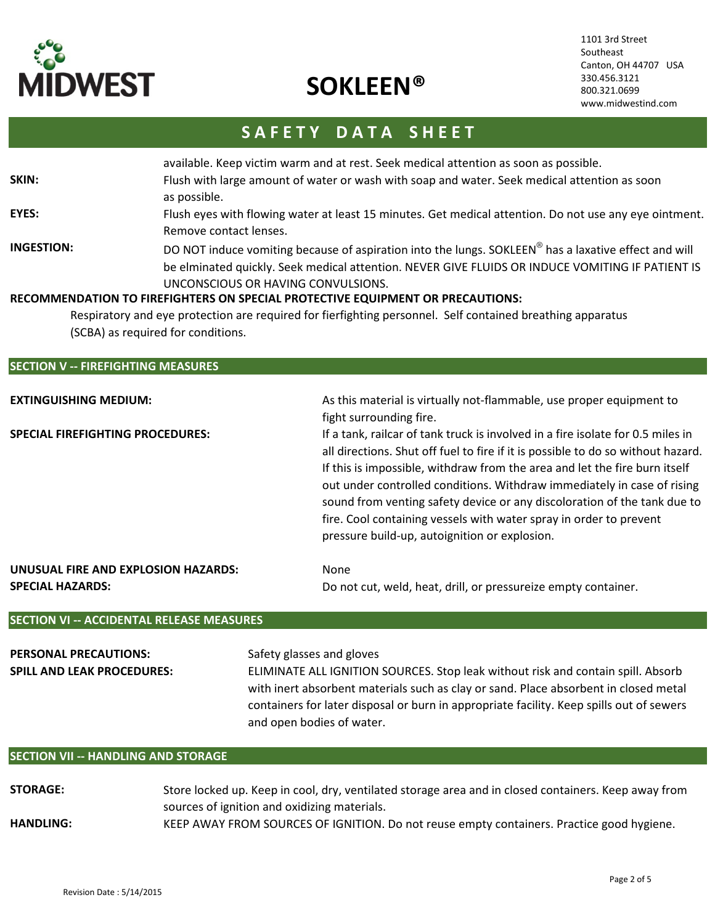

1101 3rd Street Southeast Canton, OH 44707 USA 330.456.3121 800.321.0699 www.midwestind.com

# SAFETY DATA SHEET

|                                                               | available. Keep victim warm and at rest. Seek medical attention as soon as possible.                                                                                                                                                                       |
|---------------------------------------------------------------|------------------------------------------------------------------------------------------------------------------------------------------------------------------------------------------------------------------------------------------------------------|
| SKIN:                                                         | Flush with large amount of water or wash with soap and water. Seek medical attention as soon<br>as possible.                                                                                                                                               |
| EYES:                                                         | Flush eyes with flowing water at least 15 minutes. Get medical attention. Do not use any eye ointment.<br>Remove contact lenses.                                                                                                                           |
| INGESTION:                                                    | DO NOT induce vomiting because of aspiration into the lungs. SOKLEEN <sup>®</sup> has a laxative effect and will<br>be elminated quickly. Seek medical attention. NEVER GIVE FLUIDS OR INDUCE VOMITING IF PATIENT IS<br>UNCONSCIOUS OR HAVING CONVULSIONS. |
|                                                               | RECOMMENDATION TO FIREFIGHTERS ON SPECIAL PROTECTIVE EQUIPMENT OR PRECAUTIONS:                                                                                                                                                                             |
|                                                               | Respiratory and eye protection are required for fierfighting personnel. Self contained breathing apparatus                                                                                                                                                 |
|                                                               | (SCBA) as required for conditions.                                                                                                                                                                                                                         |
|                                                               |                                                                                                                                                                                                                                                            |
| $C$ $C$ $T$ $A$ $A$ $A$ $A$<br><b>FINEFICUTING BAFACLINES</b> |                                                                                                                                                                                                                                                            |

#### SECTION V -- FIREFIGHTING MEASURES

| EXTINGUISHING MEDIUM:                                   | As this material is virtually not-flammable, use proper equipment to<br>fight surrounding fire.                                                                                                                                                                                                                                                                                                                                                                                                                                 |
|---------------------------------------------------------|---------------------------------------------------------------------------------------------------------------------------------------------------------------------------------------------------------------------------------------------------------------------------------------------------------------------------------------------------------------------------------------------------------------------------------------------------------------------------------------------------------------------------------|
| SPECIAL FIREFIGHTING PROCEDURES:                        | If a tank, railcar of tank truck is involved in a fire isolate for 0.5 miles in<br>all directions. Shut off fuel to fire if it is possible to do so without hazard.<br>If this is impossible, withdraw from the area and let the fire burn itself<br>out under controlled conditions. Withdraw immediately in case of rising<br>sound from venting safety device or any discoloration of the tank due to<br>fire. Cool containing vessels with water spray in order to prevent<br>pressure build-up, autoignition or explosion. |
| UNUSUAL FIRE AND EXPLOSION HAZARDS:<br>SPECIAL HAZARDS: | None<br>Do not cut, weld, heat, drill, or pressureize empty container.                                                                                                                                                                                                                                                                                                                                                                                                                                                          |

## SECTION VI -- ACCIDENTAL RELEASE MEASURES

| <b>PERSONAL PRECAUTIONS:</b>      | Safety glasses and gloves                                                                |
|-----------------------------------|------------------------------------------------------------------------------------------|
| <b>SPILL AND LEAK PROCEDURES:</b> | ELIMINATE ALL IGNITION SOURCES. Stop leak without risk and contain spill. Absorb         |
|                                   | with inert absorbent materials such as clay or sand. Place absorbent in closed metal     |
|                                   | containers for later disposal or burn in appropriate facility. Keep spills out of sewers |
|                                   | and open bodies of water.                                                                |

## SECTION VII -- HANDLING AND STORAGE

STORAGE: HANDLING: Store locked up. Keep in cool, dry, ventilated storage area and in closed containers. Keep away from sources of ignition and oxidizing materials. KEEP AWAY FROM SOURCES OF IGNITION. Do not reuse empty containers. Practice good hygiene.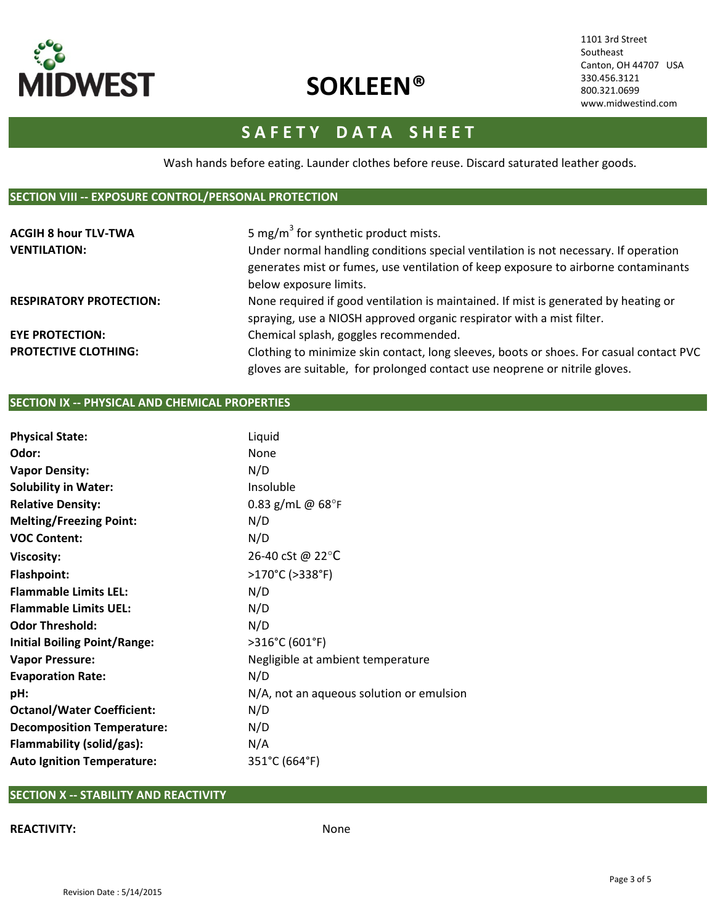

1101 3rd Street Southeast Canton, OH 44707 USA 330.456.3121 800.321.0699 www.midwestind.com

# SAFETY DATA SHEET

Wash hands before eating. Launder clothes before reuse. Discard saturated leather goods.

#### SECTION VIII -- EXPOSURE CONTROL/PERSONAL PROTECTION

| <b>ACGIH 8 hour TLV-TWA</b><br><b>VENTILATION:</b> | 5 mg/m <sup>3</sup> for synthetic product mists.<br>Under normal handling conditions special ventilation is not necessary. If operation<br>generates mist or fumes, use ventilation of keep exposure to airborne contaminants |
|----------------------------------------------------|-------------------------------------------------------------------------------------------------------------------------------------------------------------------------------------------------------------------------------|
|                                                    | below exposure limits.                                                                                                                                                                                                        |
| <b>RESPIRATORY PROTECTION:</b>                     | None required if good ventilation is maintained. If mist is generated by heating or                                                                                                                                           |
|                                                    | spraying, use a NIOSH approved organic respirator with a mist filter.                                                                                                                                                         |
| <b>EYE PROTECTION:</b>                             | Chemical splash, goggles recommended.                                                                                                                                                                                         |
| <b>PROTECTIVE CLOTHING:</b>                        | Clothing to minimize skin contact, long sleeves, boots or shoes. For casual contact PVC                                                                                                                                       |
|                                                    | gloves are suitable, for prolonged contact use neoprene or nitrile gloves.                                                                                                                                                    |

# SECTION IX -- PHYSICAL AND CHEMICAL PROPERTIES

| <b>Physical State:</b>              | Liquid                                   |
|-------------------------------------|------------------------------------------|
| Odor:                               | None                                     |
| <b>Vapor Density:</b>               | N/D                                      |
| <b>Solubility in Water:</b>         | Insoluble                                |
| <b>Relative Density:</b>            | 0.83 g/mL @ $68^{\circ}$ F               |
| <b>Melting/Freezing Point:</b>      | N/D                                      |
| <b>VOC Content:</b>                 | N/D                                      |
| <b>Viscosity:</b>                   | 26-40 cSt @ 22°C                         |
| <b>Flashpoint:</b>                  | >170°C (>338°F)                          |
| <b>Flammable Limits LEL:</b>        | N/D                                      |
| <b>Flammable Limits UEL:</b>        | N/D                                      |
| <b>Odor Threshold:</b>              | N/D                                      |
| <b>Initial Boiling Point/Range:</b> | >316°C (601°F)                           |
| <b>Vapor Pressure:</b>              | Negligible at ambient temperature        |
| <b>Evaporation Rate:</b>            | N/D                                      |
| pH:                                 | N/A, not an aqueous solution or emulsion |
| <b>Octanol/Water Coefficient:</b>   | N/D                                      |
| <b>Decomposition Temperature:</b>   | N/D                                      |
| Flammability (solid/gas):           | N/A                                      |
| <b>Auto Ignition Temperature:</b>   | 351°C (664°F)                            |

# SECTION X -- STABILITY AND REACTIVITY

### REACTIVITY: None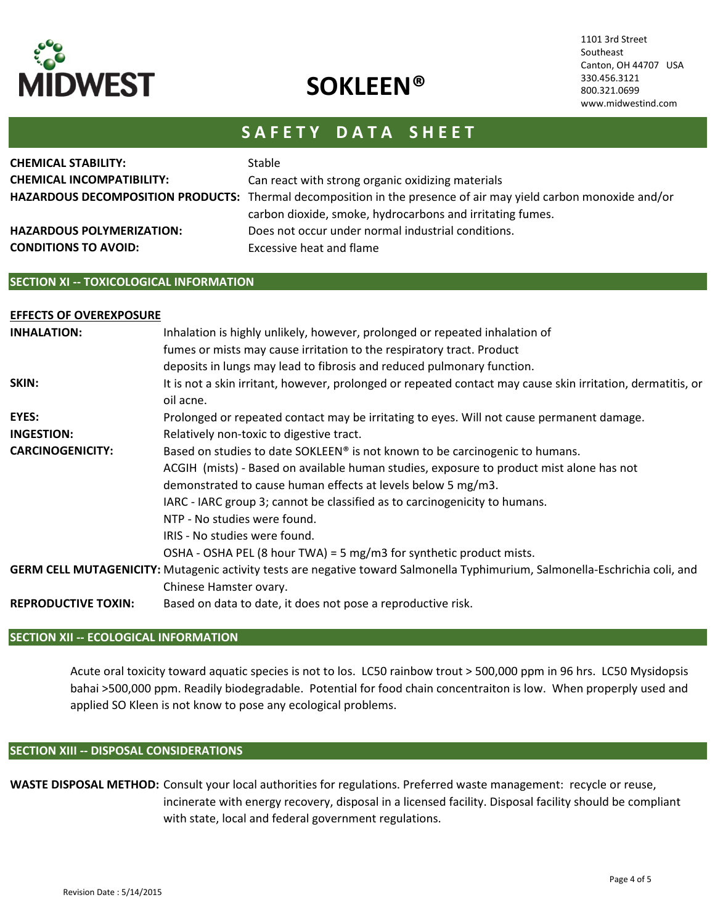

1101 3rd Street Southeast Canton, OH 44707 USA 330.456.3121 800.321.0699 www.midwestind.com

# SAFETY DATA SHEET

| <b>CHEMICAL STABILITY:</b>       | <b>Stable</b>                                                                                                   |
|----------------------------------|-----------------------------------------------------------------------------------------------------------------|
| <b>CHEMICAL INCOMPATIBILITY:</b> | Can react with strong organic oxidizing materials                                                               |
|                                  | HAZARDOUS DECOMPOSITION PRODUCTS: Thermal decomposition in the presence of air may yield carbon monoxide and/or |
|                                  | carbon dioxide, smoke, hydrocarbons and irritating fumes.                                                       |
| <b>HAZARDOUS POLYMERIZATION:</b> | Does not occur under normal industrial conditions.                                                              |
| <b>CONDITIONS TO AVOID:</b>      | Excessive heat and flame                                                                                        |
|                                  |                                                                                                                 |

### SECTION XI -- TOXICOLOGICAL INFORMATION

#### EFFECTS OF OVEREXPOSURE INHALATION: SKIN: EYES: Prolonged or repeated contact may be irritating to eyes. Will not cause permanent damage. INGESTION: CARCINOGENICITY: GERM CELL MUTAGENICITY: Mutagenic activity tests are negative toward Salmonella Typhimurium, Salmonella-Eschrichia coli, and REPRODUCTIVE TOXIN: Based on data to date, it does not pose a reproductive risk. Chinese Hamster ovary. Inhalation is highly unlikely, however, prolonged or repeated inhalation of fumes or mists may cause irritation to the respiratory tract. Product deposits in lungs may lead to fibrosis and reduced pulmonary function. It is not a skin irritant, however, prolonged or repeated contact may cause skin irritation, dermatitis, or oil acne. Relatively non-toxic to digestive tract. Based on studies to date SOKLEEN® is not known to be carcinogenic to humans. ACGIH (mists) - Based on available human studies, exposure to product mist alone has not demonstrated to cause human effects at levels below 5 mg/m3. IARC - IARC group 3; cannot be classified as to carcinogenicity to humans. NTP - No studies were found. IRIS - No studies were found. OSHA - OSHA PEL (8 hour TWA) = 5 mg/m3 for synthetic product mists.

## SECTION XII -- ECOLOGICAL INFORMATION

Acute oral toxicity toward aquatic species is not to los. LC50 rainbow trout > 500,000 ppm in 96 hrs. LC50 Mysidopsis bahai >500,000 ppm. Readily biodegradable. Potential for food chain concentraiton is low. When properply used and applied SO Kleen is not know to pose any ecological problems.

#### SECTION XIII -- DISPOSAL CONSIDERATIONS

WASTE DISPOSAL METHOD: Consult your local authorities for regulations. Preferred waste management: recycle or reuse, incinerate with energy recovery, disposal in a licensed facility. Disposal facility should be compliant with state, local and federal government regulations.